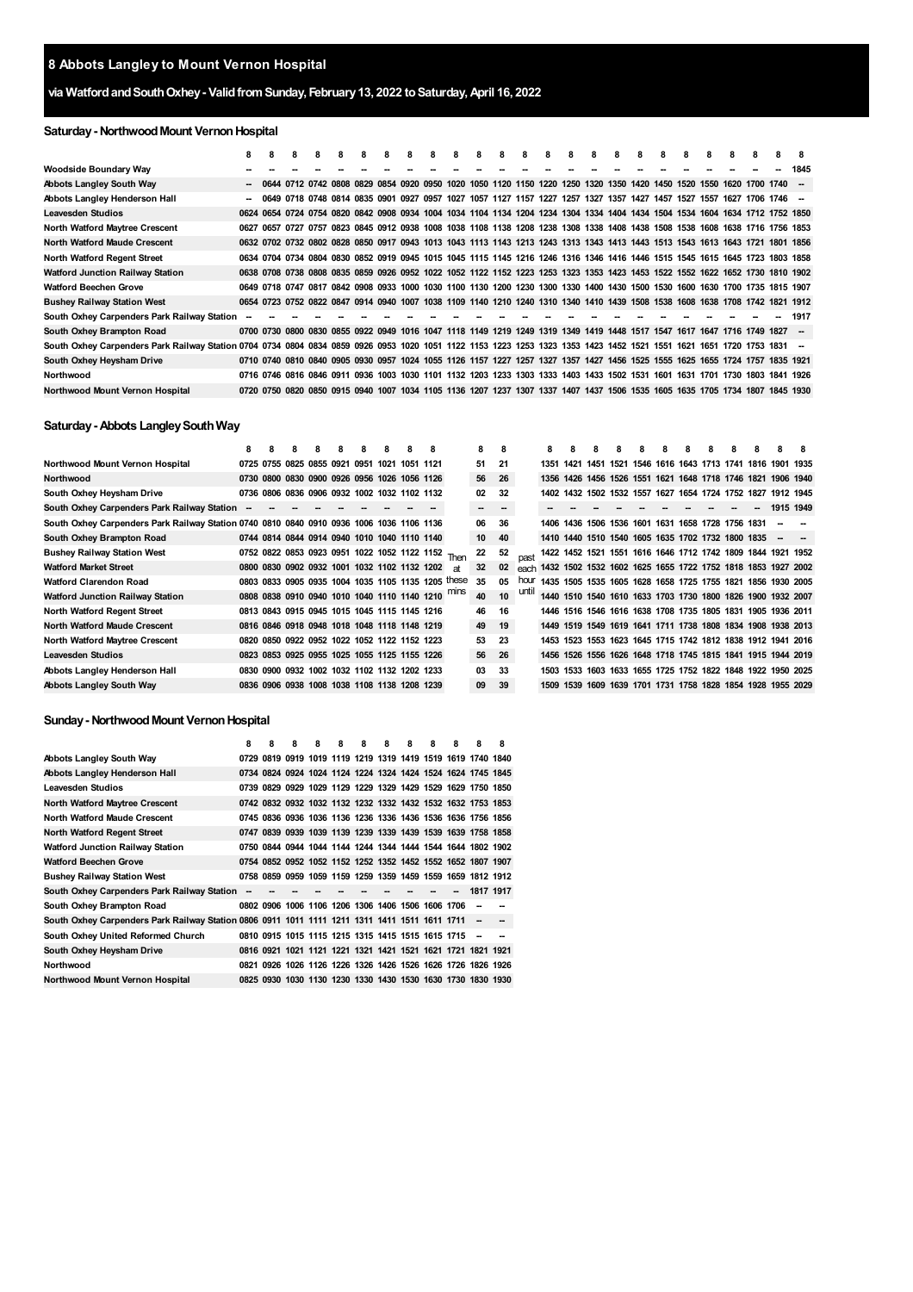# **via WatfordandSouthOxhey- ValidfromSunday, February13, 2022 toSaturday,April 16, 2022**

# **Saturday- NorthwoodMount VernonHospital**

|                                                                                                                                                                       | 8 | 8    | 8 | 8 | 8 | 8 | 8 | 8 | 8 | 8 | 8 | 8 | 8 | 8 | 8                                                                                                                            | 8 | 8 | 8 | 8 | 8 | 8 | 8 |           |      |
|-----------------------------------------------------------------------------------------------------------------------------------------------------------------------|---|------|---|---|---|---|---|---|---|---|---|---|---|---|------------------------------------------------------------------------------------------------------------------------------|---|---|---|---|---|---|---|-----------|------|
| Woodside Boundary Way                                                                                                                                                 |   |      |   |   |   |   |   |   |   |   |   |   |   |   |                                                                                                                              |   |   |   |   |   |   |   |           | 1845 |
| <b>Abbots Langley South Way</b>                                                                                                                                       |   | 0644 |   |   |   |   |   |   |   |   |   |   |   |   | 0712 0742 0808 0829 0854 0920 0950 1020 1050 1120 1150 1220 1250 1320 1350 1420 1450 1520 1550 1620 1700 1740 -              |   |   |   |   |   |   |   |           |      |
| Abbots Langley Henderson Hall                                                                                                                                         |   |      |   |   |   |   |   |   |   |   |   |   |   |   | - 0649 0718 0748 0814 0835 0901 0927 0957 1027 1057 1127 1157 1227 1257 1327 1357 1427 1457 1527 1557 1627 1706 1746 -       |   |   |   |   |   |   |   |           |      |
| <b>Leavesden Studios</b>                                                                                                                                              |   |      |   |   |   |   |   |   |   |   |   |   |   |   | 0624 0654 0724 0754 0820 0842 0908 0934 1004 1034 1104 1134 1204 1234 1304 1334 1404 1434 1504 1534 1604 1634 1712 1752 1850 |   |   |   |   |   |   |   |           |      |
| North Watford Maytree Crescent                                                                                                                                        |   |      |   |   |   |   |   |   |   |   |   |   |   |   | 0627 0657 0727 0757 0823 0845 0912 0938 1008 1038 1108 1138 1208 1238 1308 1338 1408 1438 1508 1538 1608 1638 1716 1756 1853 |   |   |   |   |   |   |   |           |      |
| <b>North Watford Maude Crescent</b>                                                                                                                                   |   |      |   |   |   |   |   |   |   |   |   |   |   |   | 0632 0702 0732 0802 0828 0850 0917 0943 1013 1043 1113 1143 1213 1243 1313 1343 1413 1443 1513 1543 1613 1643 1721 1801 1856 |   |   |   |   |   |   |   |           |      |
| North Watford Regent Street                                                                                                                                           |   |      |   |   |   |   |   |   |   |   |   |   |   |   | 0634 0704 0734 0804 0830 0852 0919 0945 1015 1045 1115 1145 1216 1246 1316 1346 1416 1446 1515 1545 1615 1645 1723 1803 1858 |   |   |   |   |   |   |   |           |      |
| <b>Watford Junction Railway Station</b>                                                                                                                               |   |      |   |   |   |   |   |   |   |   |   |   |   |   | 0638 0708 0738 0808 0835 0859 0926 0952 1022 1052 1122 1152 1223 1253 1323 1353 1423 1453 1522 1552 1622 1652 1730 1810 1902 |   |   |   |   |   |   |   |           |      |
| <b>Watford Beechen Grove</b>                                                                                                                                          |   |      |   |   |   |   |   |   |   |   |   |   |   |   | 0649 0718 0747 0817 0842 0908 0933 1000 1030 1100 1130 1200 1230 1300 1330 1400 1430 1500 1530 1600 1630 1700 1735 1815 1907 |   |   |   |   |   |   |   |           |      |
| <b>Bushey Railway Station West</b>                                                                                                                                    |   |      |   |   |   |   |   |   |   |   |   |   |   |   | 0654 0723 0752 0822 0847 0914 0940 1007 1038 1109 1140 1210 1240 1310 1340 1410 1439 1508 1538 1608 1638 1708 1742 1821 1912 |   |   |   |   |   |   |   |           |      |
| South Oxhey Carpenders Park Railway Station                                                                                                                           |   |      |   |   |   |   |   |   |   |   |   |   |   |   |                                                                                                                              |   |   |   |   |   |   |   |           | 1917 |
| South Oxhey Brampton Road                                                                                                                                             |   |      |   |   |   |   |   |   |   |   |   |   |   |   | 0700 0730 0800 0830 0855 0922 0949 1016 1047 1118 1149 1219 1249 1319 1349 1419 1448 1517 1547 1617 1647 1716 1749 1827 -    |   |   |   |   |   |   |   |           |      |
| South Oxhey Carpenders Park Railway Station 0704 0734 0804 0834 0859 0926 0953 1020 1051 1122 1153 1223 1253 1323 1353 1423 1452 1521 1551 1621 1651 1720 1753 1831 - |   |      |   |   |   |   |   |   |   |   |   |   |   |   |                                                                                                                              |   |   |   |   |   |   |   |           |      |
| South Oxhey Heysham Drive                                                                                                                                             |   |      |   |   |   |   |   |   |   |   |   |   |   |   | 0710 0740 0810 0840 0905 0930 0957 1024 1055 1126 1157 1227 1257 1327 1357 1427 1456 1525 1555 1625 1655 1724 1757 1835 1921 |   |   |   |   |   |   |   |           |      |
| Northwood                                                                                                                                                             |   |      |   |   |   |   |   |   |   |   |   |   |   |   | 0716 0746 0816 0846 0911 0936 1003 1030 1101 1132 1203 1233 1303 1333 1403 1433 1502 1531 1601 1631 1701 1730 1803 1841 1926 |   |   |   |   |   |   |   |           |      |
| Northwood Mount Vernon Hospital                                                                                                                                       |   |      |   |   |   |   |   |   |   |   |   |   |   |   | 0720 0750 0820 0850 0915 0940 1007 1034 1105 1136 1207 1237 1307 1337 1407 1437 1506 1535 1605 1635 1705 1734 1807           |   |   |   |   |   |   |   | 1845 1930 |      |

### **Saturday- Abbots LangleySouthWay**

|                                                                                          | 8 | 8 | 8                                                  | 8 | 8 | 8 | 8 | 8 |    | 8  | 8  |       | 8    | 8                                                 | 8 | 8 | 8 | 8 | 8 | 8 | 8 | 8 |                                                                  |  |
|------------------------------------------------------------------------------------------|---|---|----------------------------------------------------|---|---|---|---|---|----|----|----|-------|------|---------------------------------------------------|---|---|---|---|---|---|---|---|------------------------------------------------------------------|--|
| Northwood Mount Vernon Hospital                                                          |   |   | 0725 0755 0825 0855 0921 0951 1021 1051 1121       |   |   |   |   |   |    | 51 | 21 |       | 1351 | 1421                                              |   |   |   |   |   |   |   |   | 1451 1521 1546 1616 1643 1713 1741 1816 1901 1935                |  |
| Northwood                                                                                |   |   | 0730 0800 0830 0900 0926 0956 1026 1056 1126       |   |   |   |   |   |    | 56 | 26 |       |      |                                                   |   |   |   |   |   |   |   |   | 1356 1426 1456 1526 1551 1621 1648 1718 1746 1821 1906 1940      |  |
| South Oxhey Heysham Drive                                                                |   |   | 0736 0806 0836 0906 0932 1002 1032 1102 1132       |   |   |   |   |   |    | 02 | 32 |       |      |                                                   |   |   |   |   |   |   |   |   | 1402 1432 1502 1532 1557 1627 1654 1724 1752 1827 1912 1945      |  |
| South Oxhey Carpenders Park Railway Station                                              |   |   |                                                    |   |   |   |   |   |    | -  | -  |       |      |                                                   |   |   |   |   |   |   |   |   | 1915 1949                                                        |  |
| South Oxhey Carpenders Park Railway Station 0740 0810 0840 0910 0936 1006 1036 1106 1136 |   |   |                                                    |   |   |   |   |   |    | 06 | 36 |       |      | 1406 1436 1506 1536 1601 1631 1658 1728 1756 1831 |   |   |   |   |   |   |   |   |                                                                  |  |
| South Oxhey Brampton Road                                                                |   |   | 0744 0814 0844 0914 0940 1010 1040 1110 1140       |   |   |   |   |   |    | 10 | 40 |       |      | 1410 1440 1510 1540 1605 1635 1702 1732 1800 1835 |   |   |   |   |   |   |   |   |                                                                  |  |
| <b>Bushey Railway Station West</b>                                                       |   |   | 0752 0822 0853 0923 0951 1022 1052 1122 1152 Then  |   |   |   |   |   |    | 22 | 52 |       |      |                                                   |   |   |   |   |   |   |   |   | 1422 1452 1521 1551 1616 1646 1712 1742 1809 1844 1921 1952      |  |
| <b>Watford Market Street</b>                                                             |   |   | 0800 0830 0902 0932 1001 1032 1102 1132 1202       |   |   |   |   |   | аt | 32 | 02 |       |      |                                                   |   |   |   |   |   |   |   |   | each 1432 1502 1532 1602 1625 1655 1722 1752 1818 1853 1927 2002 |  |
| <b>Watford Clarendon Road</b>                                                            |   |   | 0803 0833 0905 0935 1004 1035 1105 1135 1205 these |   |   |   |   |   |    | 35 | 05 | hour  |      |                                                   |   |   |   |   |   |   |   |   | 1435 1505 1535 1605 1628 1658 1725 1755 1821 1856 1930 2005      |  |
| <b>Watford Junction Railway Station</b>                                                  |   |   | 0808 0838 0910 0940 1010 1040 1110 1140 1210       |   |   |   |   |   |    | 40 | 10 | until |      |                                                   |   |   |   |   |   |   |   |   | 1440 1510 1540 1610 1633 1703 1730 1800 1826 1900 1932 2007      |  |
| North Watford Regent Street                                                              |   |   | 0813 0843 0915 0945 1015 1045 1115 1145 1216       |   |   |   |   |   |    | 46 | 16 |       |      |                                                   |   |   |   |   |   |   |   |   | 1446 1516 1546 1616 1638 1708 1735 1805 1831 1905 1936 2011      |  |
| <b>North Watford Maude Crescent</b>                                                      |   |   | 0816 0846 0918 0948 1018 1048 1118 1148 1219       |   |   |   |   |   |    | 49 | 19 |       |      |                                                   |   |   |   |   |   |   |   |   | 1449 1519 1549 1619 1641 1711 1738 1808 1834 1908 1938 2013      |  |
| North Watford Maytree Crescent                                                           |   |   | 0820 0850 0922 0952 1022 1052 1122 1152 1223       |   |   |   |   |   |    | 53 | 23 |       |      |                                                   |   |   |   |   |   |   |   |   | 1453 1523 1553 1623 1645 1715 1742 1812 1838 1912 1941 2016      |  |
| <b>Leavesden Studios</b>                                                                 |   |   | 0823 0853 0925 0955 1025 1055 1125 1155 1226       |   |   |   |   |   |    | 56 | 26 |       |      |                                                   |   |   |   |   |   |   |   |   | 1456 1526 1556 1626 1648 1718 1745 1815 1841 1915 1944 2019      |  |
| Abbots Langley Henderson Hall                                                            |   |   | 0830 0900 0932 1002 1032 1102 1132 1202 1233       |   |   |   |   |   |    | 03 | 33 |       |      |                                                   |   |   |   |   |   |   |   |   | 1503 1533 1603 1633 1655 1725 1752 1822 1848 1922 1950 2025      |  |
| <b>Abbots Langley South Way</b>                                                          |   |   | 0836 0906 0938 1008 1038 1108 1138 1208 1239       |   |   |   |   |   |    | 09 | 39 |       |      |                                                   |   |   |   |   |   |   |   |   | 1509 1539 1609 1639 1701 1731 1758 1828 1854 1928 1955 2029      |  |

## **Sunday- NorthwoodMount VernonHospital**

|                                                                                               | 8 | 8 | 8 | 8 | 8 | 8 | 8 | 8                                                           | 8 | 8 | 8 | 8         |
|-----------------------------------------------------------------------------------------------|---|---|---|---|---|---|---|-------------------------------------------------------------|---|---|---|-----------|
| Abbots Langley South Way                                                                      |   |   |   |   |   |   |   | 0729 0819 0919 1019 1119 1219 1319 1419 1519 1619 1740 1840 |   |   |   |           |
| Abbots Langley Henderson Hall                                                                 |   |   |   |   |   |   |   | 0734 0824 0924 1024 1124 1224 1324 1424 1524 1624 1745 1845 |   |   |   |           |
| Leavesden Studios                                                                             |   |   |   |   |   |   |   | 0739 0829 0929 1029 1129 1229 1329 1429 1529 1629 1750 1850 |   |   |   |           |
| <b>North Watford Maytree Crescent</b>                                                         |   |   |   |   |   |   |   | 0742 0832 0932 1032 1132 1232 1332 1432 1532 1632 1753 1853 |   |   |   |           |
| <b>North Watford Maude Crescent</b>                                                           |   |   |   |   |   |   |   | 0745 0836 0936 1036 1136 1236 1336 1436 1536 1636 1756 1856 |   |   |   |           |
| <b>North Watford Regent Street</b>                                                            |   |   |   |   |   |   |   | 0747 0839 0939 1039 1139 1239 1339 1439 1539 1639 1758 1858 |   |   |   |           |
| Watford Junction Railway Station                                                              |   |   |   |   |   |   |   | 0750 0844 0944 1044 1144 1244 1344 1444 1544 1644 1802 1902 |   |   |   |           |
| <b>Watford Beechen Grove</b>                                                                  |   |   |   |   |   |   |   | 0754 0852 0952 1052 1152 1252 1352 1452 1552 1652 1807 1907 |   |   |   |           |
| <b>Bushey Railway Station West</b>                                                            |   |   |   |   |   |   |   | 0758 0859 0959 1059 1159 1259 1359 1459 1559 1659 1812 1912 |   |   |   |           |
| South Oxhey Carpenders Park Railway Station                                                   |   |   |   |   |   |   |   |                                                             |   |   |   | 1817 1917 |
| South Oxhey Brampton Road                                                                     |   |   |   |   |   |   |   | 0802 0906 1006 1106 1206 1306 1406 1506 1606 1706           |   |   |   |           |
| South Oxhey Carpenders Park Railway Station 0806 0911 1011 1111 1211 1311 1411 1511 1611 1711 |   |   |   |   |   |   |   |                                                             |   |   |   |           |
| South Oxhey United Reformed Church                                                            |   |   |   |   |   |   |   | 0810 0915 1015 1115 1215 1315 1415 1515 1615 1715           |   |   |   |           |
| South Oxhey Heysham Drive                                                                     |   |   |   |   |   |   |   | 0816 0921 1021 1121 1221 1321 1421 1521 1621 1721 1821 1921 |   |   |   |           |
| Northwood                                                                                     |   |   |   |   |   |   |   | 0821 0926 1026 1126 1226 1326 1426 1526 1626 1726 1826 1926 |   |   |   |           |
| Northwood Mount Vernon Hospital                                                               |   |   |   |   |   |   |   | 0825 0930 1030 1130 1230 1330 1430 1530 1630 1730 1830 1930 |   |   |   |           |